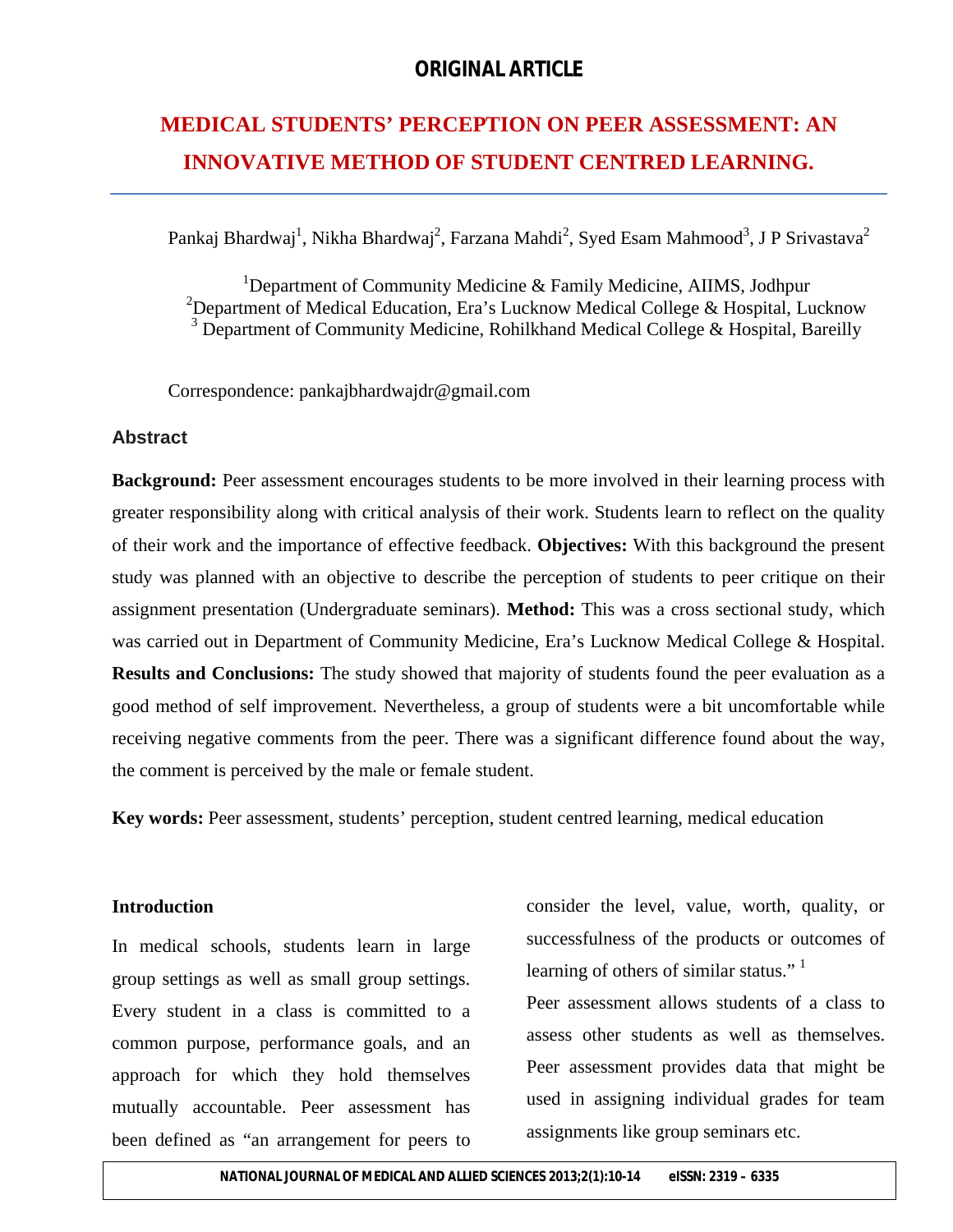# **MEDICAL STUDENTS' PERCEPTION ON PEER ASSESSMENT: AN INNOVATIVE METHOD OF STUDENT CENTRED LEARNING.**

Pankaj Bhardwaj<sup>1</sup>, Nikha Bhardwaj<sup>2</sup>, Farzana Mahdi<sup>2</sup>, Syed Esam Mahmood<sup>3</sup>, J P Srivastava<sup>2</sup>

<sup>1</sup>Department of Community Medicine & Family Medicine, AIIMS, Jodhpur <sup>2</sup>Department of Medical Education, Era's Lucknow Medical College & Hospital, Lucknow <sup>3</sup> Department of Community Medicine, Rohilkhand Medical College & Hospital, Bareilly

Correspondence: pankajbhardwajdr@gmail.com

#### **Abstract**

**Background:** Peer assessment encourages students to be more involved in their learning process with greater responsibility along with critical analysis of their work. Students learn to reflect on the quality of their work and the importance of effective feedback. **Objectives:** With this background the present study was planned with an objective to describe the perception of students to peer critique on their assignment presentation (Undergraduate seminars). **Method:** This was a cross sectional study, which was carried out in Department of Community Medicine, Era's Lucknow Medical College & Hospital. **Results and Conclusions:** The study showed that majority of students found the peer evaluation as a good method of self improvement. Nevertheless, a group of students were a bit uncomfortable while receiving negative comments from the peer. There was a significant difference found about the way, the comment is perceived by the male or female student.

**Key words:** Peer assessment, students' perception, student centred learning, medical education

#### **Introduction**

In medical schools, students learn in large group settings as well as small group settings. Every student in a class is committed to a common purpose, performance goals, and an approach for which they hold themselves mutually accountable. Peer assessment has been defined as "an arrangement for peers to

consider the level, value, worth, quality, or successfulness of the products or outcomes of learning of others of similar status."  $1$ 

Peer assessment allows students of a class to assess other students as well as themselves. Peer assessment provides data that might be used in assigning individual grades for team assignments like group seminars etc.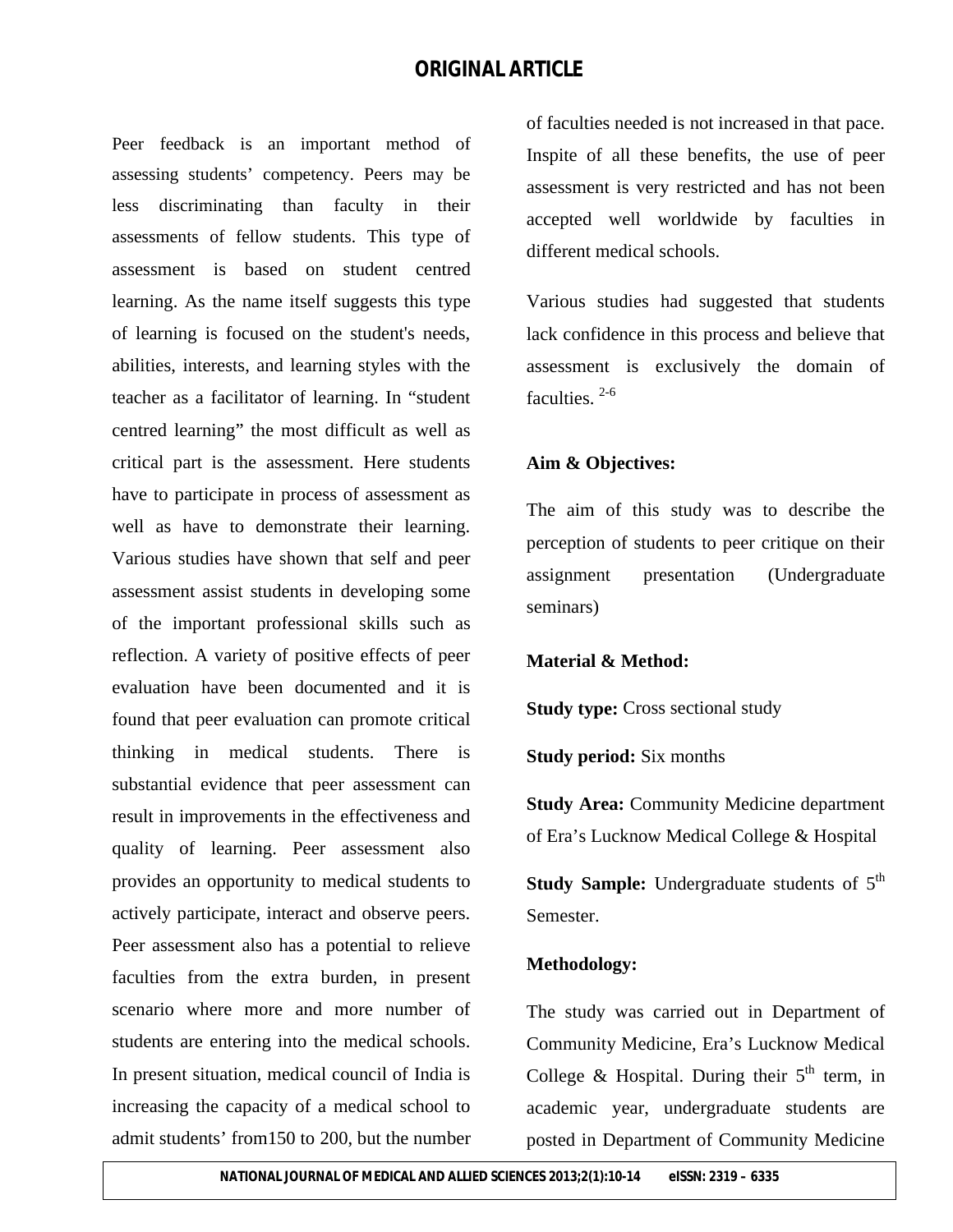Peer feedback is an important method of assessing students' competency. Peers may be less discriminating than faculty in their assessments of fellow students. This type of assessment is based on student centred learning. As the name itself suggests this type of learning is focused on the student's needs, abilities, interests, and learning styles with the teacher as a facilitator of learning. In "student centred learning" the most difficult as well as critical part is the assessment. Here students have to participate in process of assessment as well as have to demonstrate their learning. Various studies have shown that self and peer assessment assist students in developing some of the important professional skills such as reflection. A variety of positive effects of peer evaluation have been documented and it is found that peer evaluation can promote critical thinking in medical students. There is substantial evidence that peer assessment can result in improvements in the effectiveness and quality of learning. Peer assessment also provides an opportunity to medical students to actively participate, interact and observe peers. Peer assessment also has a potential to relieve faculties from the extra burden, in present scenario where more and more number of students are entering into the medical schools. In present situation, medical council of India is increasing the capacity of a medical school to admit students' from150 to 200, but the number

of faculties needed is not increased in that pace. Inspite of all these benefits, the use of peer assessment is very restricted and has not been accepted well worldwide by faculties in different medical schools.

Various studies had suggested that students lack confidence in this process and believe that assessment is exclusively the domain of faculties.<sup>2-6</sup>

#### **Aim & Objectives:**

The aim of this study was to describe the perception of students to peer critique on their assignment presentation (Undergraduate seminars)

#### **Material & Method:**

**Study type:** Cross sectional study

**Study period:** Six months

**Study Area:** Community Medicine department of Era's Lucknow Medical College & Hospital

**Study Sample:** Undergraduate students of 5<sup>th</sup> Semester.

#### **Methodology:**

The study was carried out in Department of Community Medicine, Era's Lucknow Medical College & Hospital. During their  $5<sup>th</sup>$  term, in academic year, undergraduate students are posted in Department of Community Medicine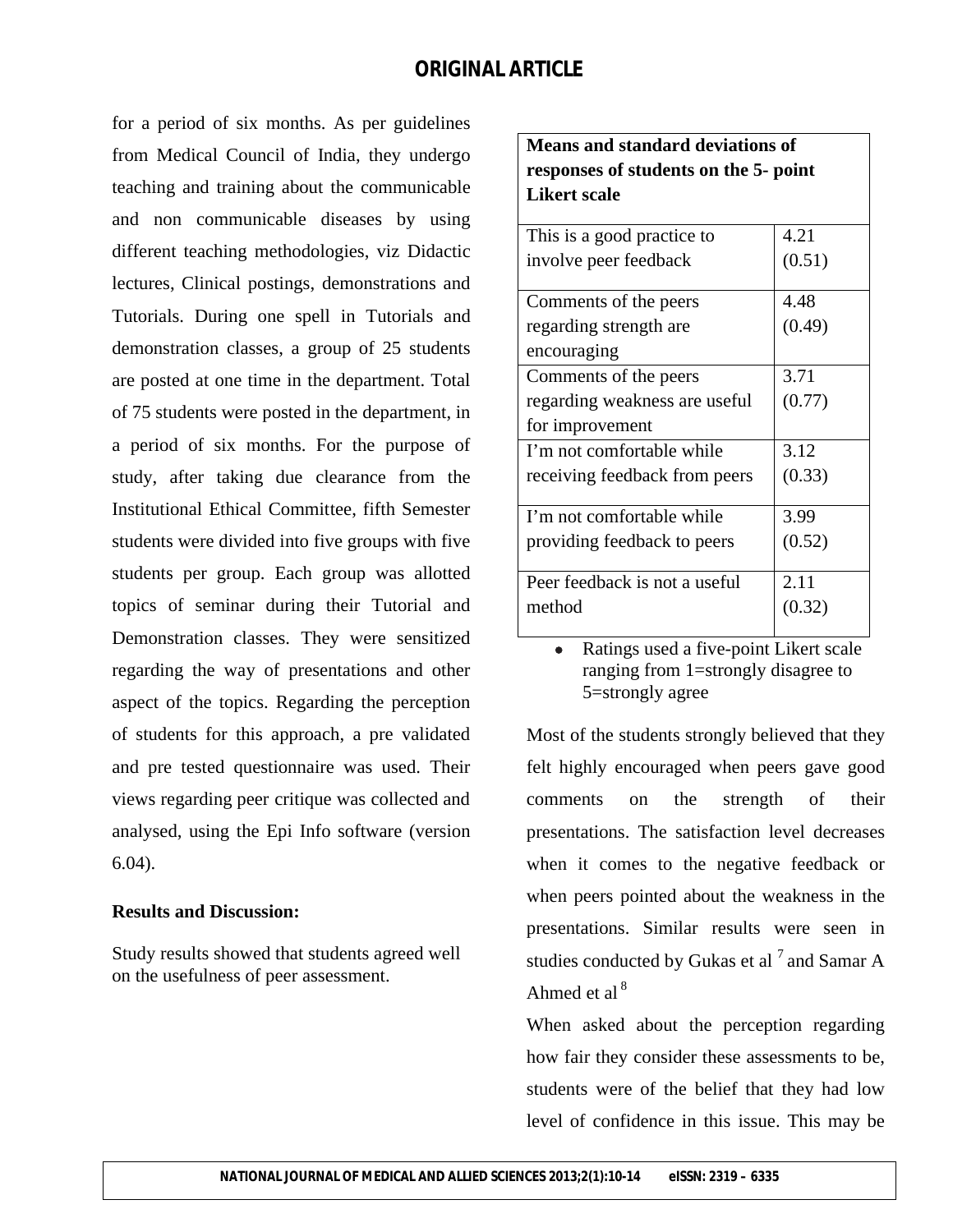for a period of six months. As per guidelines from Medical Council of India, they undergo teaching and training about the communicable and non communicable diseases by using different teaching methodologies, viz Didactic lectures, Clinical postings, demonstrations and Tutorials. During one spell in Tutorials and demonstration classes, a group of 25 students are posted at one time in the department. Total of 75 students were posted in the department, in a period of six months. For the purpose of study, after taking due clearance from the Institutional Ethical Committee, fifth Semester students were divided into five groups with five students per group. Each group was allotted topics of seminar during their Tutorial and Demonstration classes. They were sensitized regarding the way of presentations and other aspect of the topics. Regarding the perception of students for this approach, a pre validated and pre tested questionnaire was used. Their views regarding peer critique was collected and analysed, using the Epi Info software (version 6.04).

#### **Results and Discussion:**

Study results showed that students agreed well on the usefulness of peer assessment.

### **Means and standard deviations of responses of students on the 5- point Likert scale**

| This is a good practice to    | 4.21   |
|-------------------------------|--------|
| involve peer feedback         | (0.51) |
|                               |        |
| Comments of the peers         | 4.48   |
| regarding strength are        | (0.49) |
| encouraging                   |        |
| Comments of the peers         | 3.71   |
| regarding weakness are useful | (0.77) |
| for improvement               |        |
| I'm not comfortable while     | 3.12   |
| receiving feedback from peers | (0.33) |
|                               |        |
| I'm not comfortable while     | 3.99   |
| providing feedback to peers   | (0.52) |
|                               |        |
| Peer feedback is not a useful | 2.11   |
| method                        | (0.32) |
|                               |        |

 Ratings used a five-point Likert scale ranging from 1=strongly disagree to 5=strongly agree

Most of the students strongly believed that they felt highly encouraged when peers gave good comments on the strength of their presentations. The satisfaction level decreases when it comes to the negative feedback or when peers pointed about the weakness in the presentations. Similar results were seen in studies conducted by Gukas et al  $^7$  and Samar A Ahmed et al $<sup>8</sup>$ </sup>

When asked about the perception regarding how fair they consider these assessments to be, students were of the belief that they had low level of confidence in this issue. This may be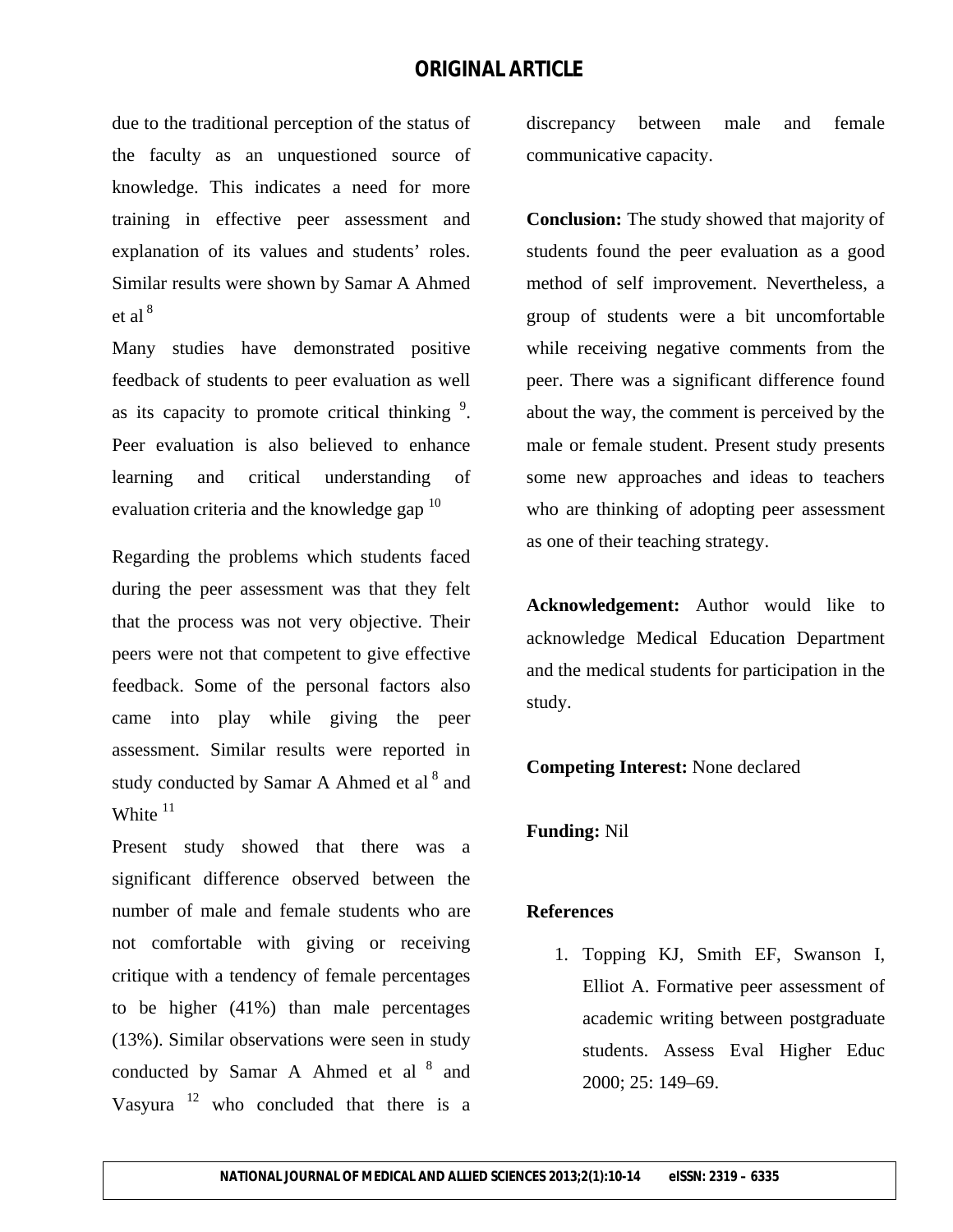due to the traditional perception of the status of the faculty as an unquestioned source of knowledge. This indicates a need for more training in effective peer assessment and explanation of its values and students' roles. Similar results were shown by Samar A Ahmed et al  $8$ 

Many studies have demonstrated positive feedback of students to peer evaluation as well as its capacity to promote critical thinking  $9$ . Peer evaluation is also believed to enhance learning and critical understanding of evaluation criteria and the knowledge gap  $10$ 

Regarding the problems which students faced during the peer assessment was that they felt that the process was not very objective. Their peers were not that competent to give effective feedback. Some of the personal factors also came into play while giving the peer assessment. Similar results were reported in study conducted by Samar A Ahmed et al<sup>8</sup> and White  $11$ 

Present study showed that there was a significant difference observed between the number of male and female students who are not comfortable with giving or receiving critique with a tendency of female percentages to be higher (41%) than male percentages (13%). Similar observations were seen in study conducted by Samar A Ahmed et al <sup>8</sup> and Vasyura  $12$  who concluded that there is a

discrepancy between male and female communicative capacity.

**Conclusion:** The study showed that majority of students found the peer evaluation as a good method of self improvement. Nevertheless, a group of students were a bit uncomfortable while receiving negative comments from the peer. There was a significant difference found about the way, the comment is perceived by the male or female student. Present study presents some new approaches and ideas to teachers who are thinking of adopting peer assessment as one of their teaching strategy.

**Acknowledgement:** Author would like to acknowledge Medical Education Department and the medical students for participation in the study.

**Competing Interest:** None declared

#### **Funding:** Nil

#### **References**

1. Topping KJ, Smith EF, Swanson I, Elliot A. Formative peer assessment of academic writing between postgraduate students. Assess Eval Higher Educ 2000; 25: 149–69.